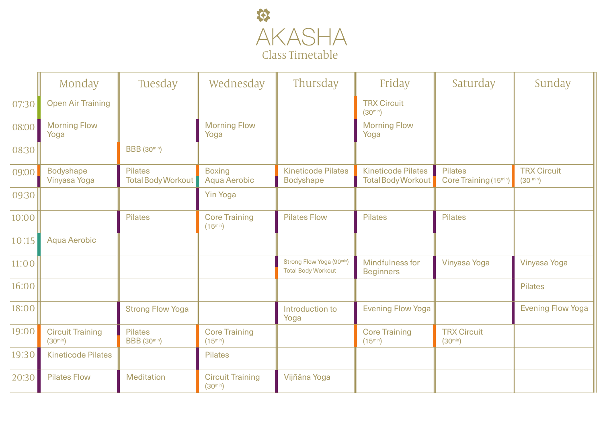

|       | Monday                                  | Tuesday                              | Wednesday                               | Thursday                                              | Friday                                                 | Saturday                                             | Sunday                                   |
|-------|-----------------------------------------|--------------------------------------|-----------------------------------------|-------------------------------------------------------|--------------------------------------------------------|------------------------------------------------------|------------------------------------------|
| 07:30 | <b>Open Air Training</b>                |                                      |                                         |                                                       | <b>TRX Circuit</b><br>$(30^{min})$                     |                                                      |                                          |
| 08:00 | <b>Morning Flow</b><br>Yoga             |                                      | <b>Morning Flow</b><br>Yoga             |                                                       | <b>Morning Flow</b><br>Yoga                            |                                                      |                                          |
| 08:30 |                                         | <b>BBB</b> (30min)                   |                                         |                                                       |                                                        |                                                      |                                          |
| 09:00 | <b>Bodyshape</b><br>Vinyasa Yoga        | <b>Pilates</b><br>Total Body Workout | <b>Boxing</b><br>Aqua Aerobic           | <b>Kineticode Pilates</b><br><b>Bodyshape</b>         | <b>Kineticode Pilates</b><br><b>Total Body Workout</b> | <b>Pilates</b><br>Core Training (15 <sup>min</sup> ) | <b>TRX Circuit</b><br>$(30 \text{ min})$ |
| 09:30 |                                         |                                      | <b>Yin Yoga</b>                         |                                                       |                                                        |                                                      |                                          |
| 10:00 |                                         | <b>Pilates</b>                       | <b>Core Training</b><br>$(15^{min})$    | <b>Pilates Flow</b>                                   | <b>Pilates</b>                                         | <b>Pilates</b>                                       |                                          |
| 10:15 | Aqua Aerobic                            |                                      |                                         |                                                       |                                                        |                                                      |                                          |
| 11:00 |                                         |                                      |                                         | Strong Flow Yoga (90min)<br><b>Total Body Workout</b> | Mindfulness for<br><b>Beginners</b>                    | Vinyasa Yoga                                         | Vinyasa Yoga                             |
| 16:00 |                                         |                                      |                                         |                                                       |                                                        |                                                      | <b>Pilates</b>                           |
| 18:00 |                                         | <b>Strong Flow Yoga</b>              |                                         | Introduction to<br>Yoga                               | <b>Evening Flow Yoga</b>                               |                                                      | <b>Evening Flow Yoga</b>                 |
| 19:00 | <b>Circuit Training</b><br>$(30^{min})$ | <b>Pilates</b><br><b>BBB</b> (30min) | <b>Core Training</b><br>$(15^{min})$    |                                                       | <b>Core Training</b><br>$(15^{min})$                   | <b>TRX Circuit</b><br>$(30^{min})$                   |                                          |
| 19:30 | <b>Kineticode Pilates</b>               |                                      | <b>Pilates</b>                          |                                                       |                                                        |                                                      |                                          |
| 20:30 | <b>Pilates Flow</b>                     | <b>Meditation</b>                    | <b>Circuit Training</b><br>$(30^{min})$ | Vijñâna Yoga                                          |                                                        |                                                      |                                          |